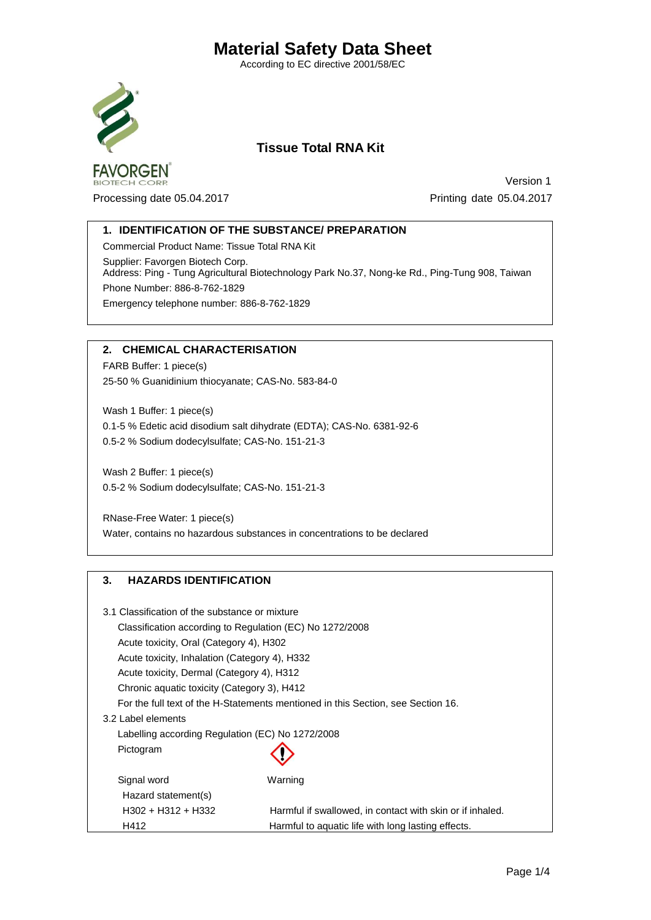According to EC directive 2001/58/EC



BIOTECH CORE

# **Tissue Total RNA Kit**

Processing date 05.04.2017 Printing date 05.04.2017

Version 1

## **1. IDENTIFICATION OF THE SUBSTANCE/ PREPARATION**

Commercial Product Name: Tissue Total RNA Kit Supplier: Favorgen Biotech Corp. Address: Ping - Tung Agricultural Biotechnology Park No.37, Nong-ke Rd., Ping-Tung 908, Taiwan Phone Number: 886-8-762-1829 Emergency telephone number: 886-8-762-1829

### **2. CHEMICAL CHARACTERISATION**

FARB Buffer: 1 piece(s) 25-50 % Guanidinium thiocyanate; CAS-No. 583-84-0

Wash 1 Buffer: 1 piece(s) 0.1-5 % Edetic acid disodium salt dihydrate (EDTA); CAS-No. 6381-92-6 0.5-2 % Sodium dodecylsulfate; CAS-No. 151-21-3

Wash 2 Buffer: 1 piece(s) 0.5-2 % Sodium dodecylsulfate; CAS-No. 151-21-3

RNase-Free Water: 1 piece(s) Water, contains no hazardous substances in concentrations to be declared

## **3. HAZARDS IDENTIFICATION**

| 3.1 Classification of the substance or mixture                                   |                                                           |
|----------------------------------------------------------------------------------|-----------------------------------------------------------|
| Classification according to Regulation (EC) No 1272/2008                         |                                                           |
| Acute toxicity, Oral (Category 4), H302                                          |                                                           |
| Acute toxicity, Inhalation (Category 4), H332                                    |                                                           |
| Acute toxicity, Dermal (Category 4), H312                                        |                                                           |
| Chronic aquatic toxicity (Category 3), H412                                      |                                                           |
| For the full text of the H-Statements mentioned in this Section, see Section 16. |                                                           |
| 3.2 Label elements                                                               |                                                           |
| Labelling according Regulation (EC) No 1272/2008                                 |                                                           |
| Pictogram                                                                        |                                                           |
| Signal word                                                                      | Warning                                                   |
| Hazard statement(s)                                                              |                                                           |
| $H302 + H312 + H332$                                                             | Harmful if swallowed, in contact with skin or if inhaled. |
| H412                                                                             | Harmful to aquatic life with long lasting effects.        |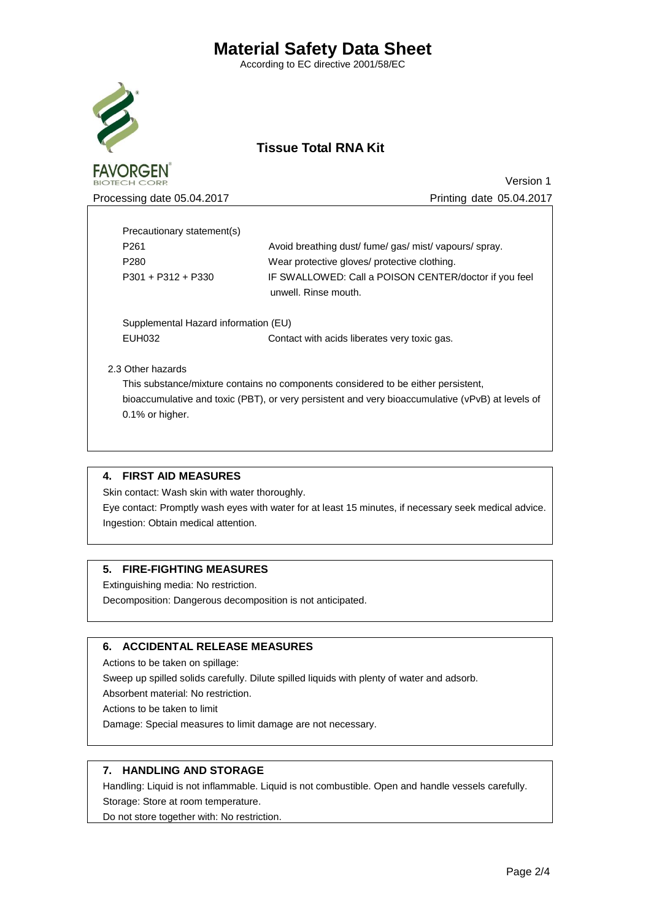According to EC directive 2001/58/EC



**FAVORGEN** 

# **Tissue Total RNA Kit**

Processing date 05.04.2017 **Processing date 05.04.2017** Printing date 05.04.2017

Version 1

 Precautionary statement(s) P261 Avoid breathing dust/ fume/ gas/ mist/ vapours/ spray. P280 Wear protective gloves/ protective clothing. P301 + P312 + P330 IF SWALLOWED: Call a POISON CENTER/doctor if you feel unwell. Rinse mouth. Supplemental Hazard information (EU)

EUH032 Contact with acids liberates very toxic gas.

2.3 Other hazards

 This substance/mixture contains no components considered to be either persistent, bioaccumulative and toxic (PBT), or very persistent and very bioaccumulative (vPvB) at levels of 0.1% or higher.

### **4. FIRST AID MEASURES**

Skin contact: Wash skin with water thoroughly.

Eye contact: Promptly wash eyes with water for at least 15 minutes, if necessary seek medical advice. Ingestion: Obtain medical attention.

### **5. FIRE-FIGHTING MEASURES**

Extinguishing media: No restriction.

Decomposition: Dangerous decomposition is not anticipated.

### **6. ACCIDENTAL RELEASE MEASURES**

Actions to be taken on spillage:

Sweep up spilled solids carefully. Dilute spilled liquids with plenty of water and adsorb.

Absorbent material: No restriction.

Actions to be taken to limit

Damage: Special measures to limit damage are not necessary.

## **7. HANDLING AND STORAGE**

Handling: Liquid is not inflammable. Liquid is not combustible. Open and handle vessels carefully. Storage: Store at room temperature.

Do not store together with: No restriction.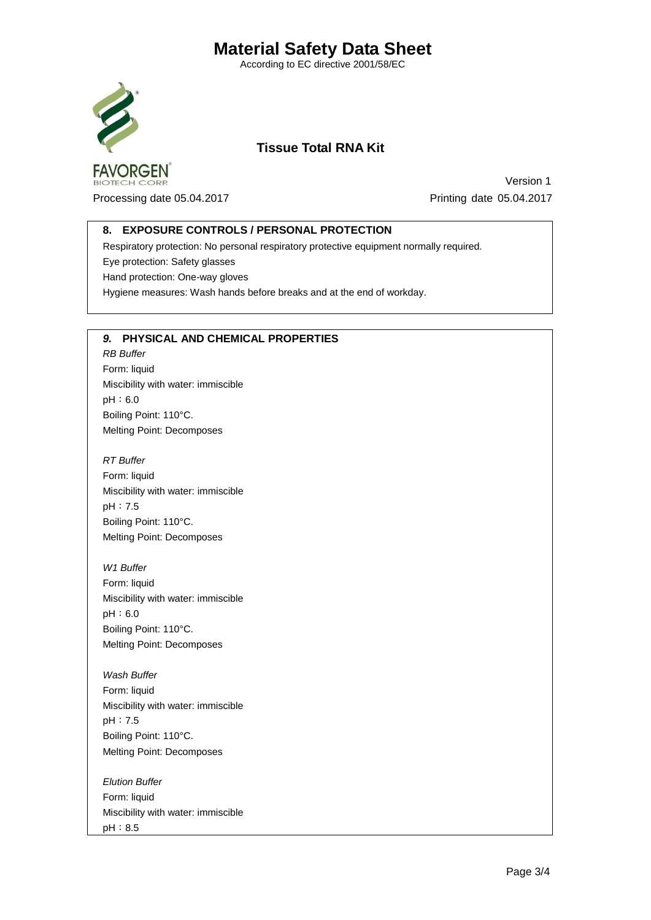According to EC directive 2001/58/EC



OTECH CORE

# **Tissue Total RNA Kit**

Processing date 05.04.2017 Printing date 05.04.2017

Version 1

## **8. EXPOSURE CONTROLS / PERSONAL PROTECTION**

Respiratory protection: No personal respiratory protective equipment normally required. Eye protection: Safety glasses Hand protection: One-way gloves Hygiene measures: Wash hands before breaks and at the end of workday.

### *9.* **PHYSICAL AND CHEMICAL PROPERTIES**

*RB Buffer*  Form: liquid Miscibility with water: immiscible pH:6.0 Boiling Point: 110°C. Melting Point: Decomposes

*RT Buffer*  Form: liquid Miscibility with water: immiscible pH:7.5 Boiling Point: 110°C. Melting Point: Decomposes

*W1 Buffer* Form: liquid Miscibility with water: immiscible pH:6.0 Boiling Point: 110°C. Melting Point: Decomposes

*Wash Buffer* Form: liquid Miscibility with water: immiscible pH:7.5 Boiling Point: 110°C. Melting Point: Decomposes

*Elution Buffer* Form: liquid Miscibility with water: immiscible pH:8.5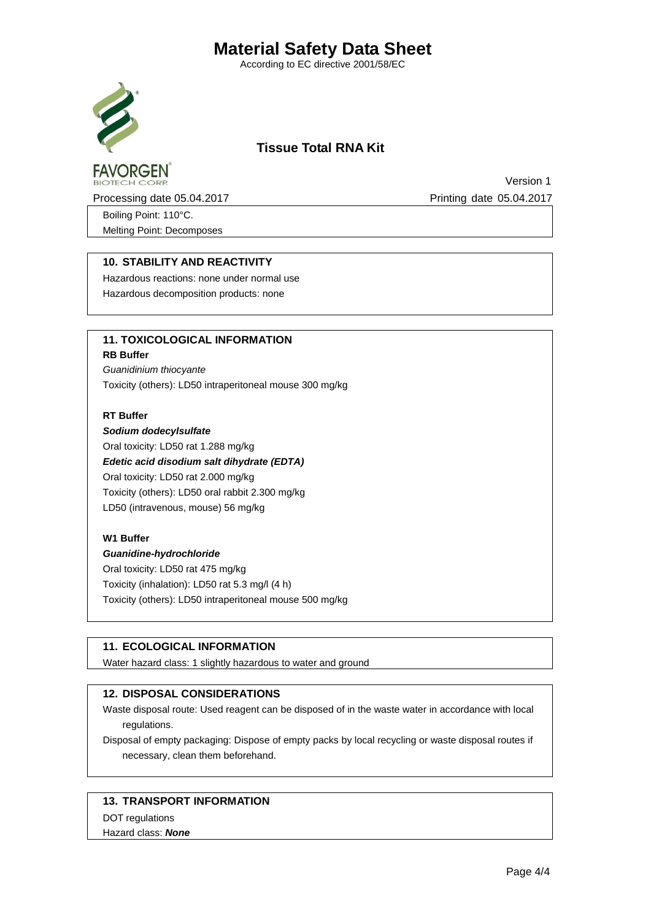According to EC directive 2001/58/EC



**FAVORGEN** 

# **Tissue Total RNA Kit**

Processing date 05.04.2017 **Processing date 05.04.2017** 

Version 1

Boiling Point: 110°C. Melting Point: Decomposes

## **10. STABILITY AND REACTIVITY**

Hazardous reactions: none under normal use Hazardous decomposition products: none

# **11. TOXICOLOGICAL INFORMATION**

### **RB Buffer**

*Guanidinium thiocyante* Toxicity (others): LD50 intraperitoneal mouse 300 mg/kg

#### **RT Buffer**

*Sodium dodecylsulfate* Oral toxicity: LD50 rat 1.288 mg/kg *Edetic acid disodium salt dihydrate (EDTA)* Oral toxicity: LD50 rat 2.000 mg/kg Toxicity (others): LD50 oral rabbit 2.300 mg/kg LD50 (intravenous, mouse) 56 mg/kg

### **W1 Buffer**

# *Guanidine-hydrochloride*

Oral toxicity: LD50 rat 475 mg/kg Toxicity (inhalation): LD50 rat 5.3 mg/l (4 h) Toxicity (others): LD50 intraperitoneal mouse 500 mg/kg

## **11. ECOLOGICAL INFORMATION**

Water hazard class: 1 slightly hazardous to water and ground

### **12. DISPOSAL CONSIDERATIONS**

Waste disposal route: Used reagent can be disposed of in the waste water in accordance with local regulations.

Disposal of empty packaging: Dispose of empty packs by local recycling or waste disposal routes if necessary, clean them beforehand.

### **13. TRANSPORT INFORMATION**

DOT regulations

#### Hazard class: *None*